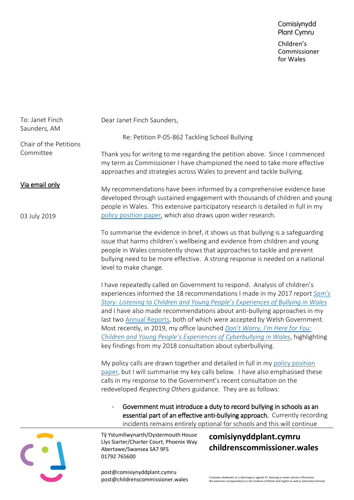| To: Janet Finch<br>Saunders, AM | Dear Janet Finch Saunders,                                                                                                                                                                                                                                                                                                                                                                                                                                                                                                                                                                                                           |
|---------------------------------|--------------------------------------------------------------------------------------------------------------------------------------------------------------------------------------------------------------------------------------------------------------------------------------------------------------------------------------------------------------------------------------------------------------------------------------------------------------------------------------------------------------------------------------------------------------------------------------------------------------------------------------|
| Chair of the Petitions          | Re: Petition P-05-862 Tackling School Bullying                                                                                                                                                                                                                                                                                                                                                                                                                                                                                                                                                                                       |
| Committee                       | Thank you for writing to me regarding the petition above. Since I commenced<br>my term as Commissioner I have championed the need to take more effective<br>approaches and strategies across Wales to prevent and tackle bullying.                                                                                                                                                                                                                                                                                                                                                                                                   |
| Via email only                  | My recommendations have been informed by a comprehensive evidence base<br>developed through sustained engagement with thousands of children and young<br>people in Wales. This extensive participatory research is detailed in full in my<br>policy position paper, which also draws upon wider research.                                                                                                                                                                                                                                                                                                                            |
| 03 July 2019                    | To summarise the evidence in brief, it shows us that bullying is a safeguarding<br>issue that harms children's wellbeing and evidence from children and young<br>people in Wales consistently shows that approaches to tackle and prevent<br>bullying need to be more effective. A strong response is needed on a national<br>level to make change.                                                                                                                                                                                                                                                                                  |
|                                 | I have repeatedly called on Government to respond. Analysis of children's<br>experiences informed the 18 recommendations I made in my 2017 report Sam's<br>Story: Listening to Children and Young People's Experiences of Bullying in Wales<br>and I have also made recommendations about anti-bullying approaches in my<br>last two Annual Reports, both of which were accepted by Welsh Government.<br>Most recently, in 2019, my office launched Don't Worry, I'm Here for You:<br>Children and Young People's Experiences of Cyberbullying in Wales, highlighting<br>key findings from my 2018 consultation about cyberbullying. |
|                                 | My policy calls are drawn together and detailed in full in my policy position<br>paper, but I will summarise my key calls below. I have also emphasised these<br>calls in my response to the Government's recent consultation on the<br>redeveloped Respecting Others guidance. They are as follows:                                                                                                                                                                                                                                                                                                                                 |
|                                 | Government must introduce a duty to record bullying in schools as an<br>essential part of an effective anti-bullying approach. Currently recording<br>incidents remains entirely optional for schools and this will continue                                                                                                                                                                                                                                                                                                                                                                                                         |
|                                 | Tŷ Ystumllwynarth/Oystermouth House<br>comisiynyddplant.cymru<br>Llys Siarter/Charter Court, Phoenix Way<br>childrenscommissioner.wales<br>Abertawe/Swansea SA7 9FS<br>01792 765600                                                                                                                                                                                                                                                                                                                                                                                                                                                  |

post@comisiynyddplant.cymru<br>post@childrenscommissioner.wales

**START OF BUILDING**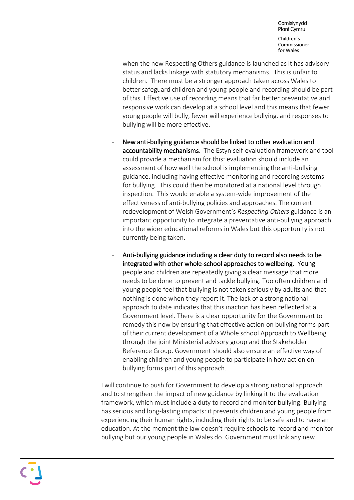Comisiynydd Plant Cymru Children's Commissioner for Wales

when the new Respecting Others guidance is launched as it has advisory status and lacks linkage with statutory mechanisms. This is unfair to children. There must be a stronger approach taken across Wales to better safeguard children and young people and recording should be part of this. Effective use of recording means that far better preventative and responsive work can develop at a school level and this means that fewer young people will bully, fewer will experience bullying, and responses to bullying will be more effective.

- New anti-bullying guidance should be linked to other evaluation and accountability mechanisms. The Estyn self-evaluation framework and tool could provide a mechanism for this: evaluation should include an assessment of how well the school is implementing the anti-bullying guidance, including having effective monitoring and recording systems for bullying. This could then be monitored at a national level through inspection. This would enable a system-wide improvement of the effectiveness of anti-bullying policies and approaches. The current redevelopment of Welsh Government's *Respecting Others* guidance is an important opportunity to integrate a preventative anti-bullying approach into the wider educational reforms in Wales but this opportunity is not currently being taken.
- Anti-bullying guidance including a clear duty to record also needs to be integrated with other whole-school approaches to wellbeing. Young people and children are repeatedly giving a clear message that more needs to be done to prevent and tackle bullying. Too often children and young people feel that bullying is not taken seriously by adults and that nothing is done when they report it. The lack of a strong national approach to date indicates that this inaction has been reflected at a Government level. There is a clear opportunity for the Government to remedy this now by ensuring that effective action on bullying forms part of their current development of a Whole school Approach to Wellbeing through the joint Ministerial advisory group and the Stakeholder Reference Group. Government should also ensure an effective way of enabling children and young people to participate in how action on bullying forms part of this approach.

I will continue to push for Government to develop a strong national approach and to strengthen the impact of new guidance by linking it to the evaluation framework, which must include a duty to record and monitor bullying. Bullying has serious and long-lasting impacts: it prevents children and young people from experiencing their human rights, including their rights to be safe and to have an education. At the moment the law doesn't require schools to record and monitor bullying but our young people in Wales do. Government must link any new